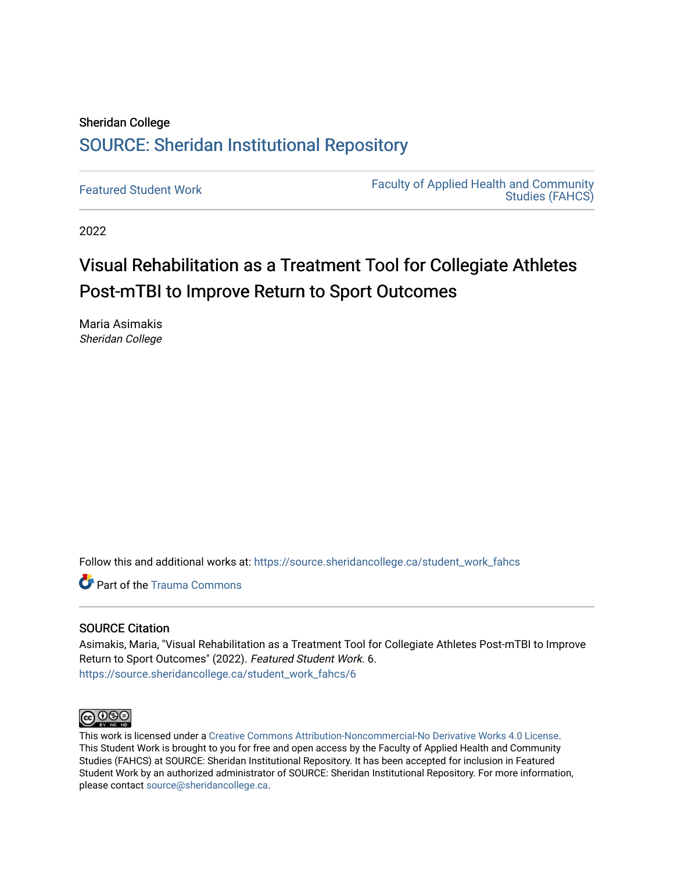# Sheridan College [SOURCE: Sheridan Institutional Repository](https://source.sheridancollege.ca/)

[Featured Student Work](https://source.sheridancollege.ca/student_work_fahcs) Faculty of Applied Health and Community [Studies \(FAHCS\)](https://source.sheridancollege.ca/swfahcs) 

2022

# Visual Rehabilitation as a Treatment Tool for Collegiate Athletes Post-mTBI to Improve Return to Sport Outcomes

Maria Asimakis Sheridan College

Follow this and additional works at: [https://source.sheridancollege.ca/student\\_work\\_fahcs](https://source.sheridancollege.ca/student_work_fahcs?utm_source=source.sheridancollege.ca%2Fstudent_work_fahcs%2F6&utm_medium=PDF&utm_campaign=PDFCoverPages) 

**C** Part of the Trauma Commons

#### SOURCE Citation

Asimakis, Maria, "Visual Rehabilitation as a Treatment Tool for Collegiate Athletes Post-mTBI to Improve Return to Sport Outcomes" (2022). Featured Student Work. 6. [https://source.sheridancollege.ca/student\\_work\\_fahcs/6](https://source.sheridancollege.ca/student_work_fahcs/6?utm_source=source.sheridancollege.ca%2Fstudent_work_fahcs%2F6&utm_medium=PDF&utm_campaign=PDFCoverPages) 



This work is licensed under a [Creative Commons Attribution-Noncommercial-No Derivative Works 4.0 License.](https://creativecommons.org/licenses/by-nc-nd/4.0/) This Student Work is brought to you for free and open access by the Faculty of Applied Health and Community Studies (FAHCS) at SOURCE: Sheridan Institutional Repository. It has been accepted for inclusion in Featured Student Work by an authorized administrator of SOURCE: Sheridan Institutional Repository. For more information, please contact [source@sheridancollege.ca.](mailto:source@sheridancollege.ca)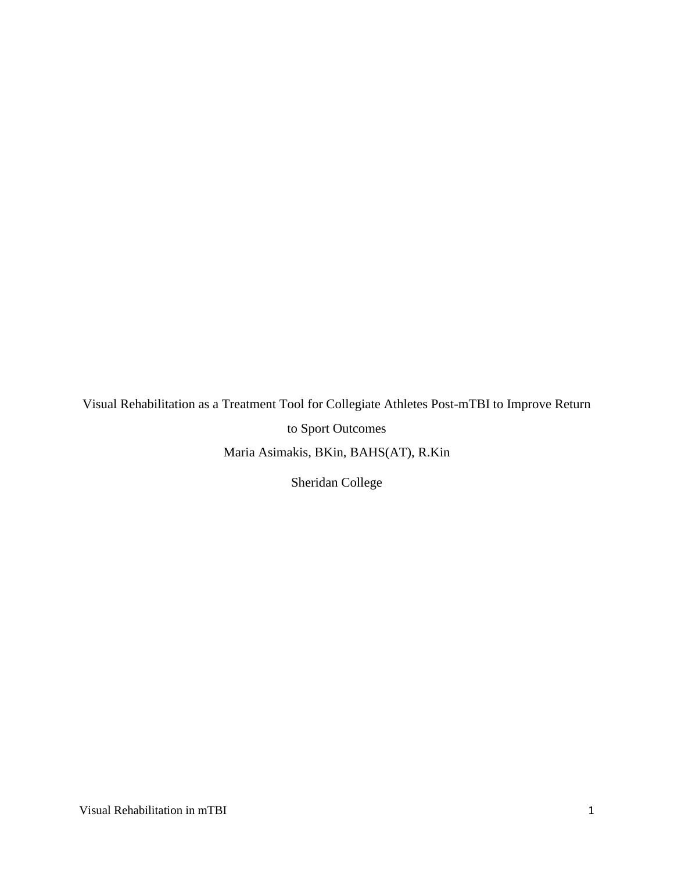Visual Rehabilitation as a Treatment Tool for Collegiate Athletes Post-mTBI to Improve Return to Sport Outcomes Maria Asimakis, BKin, BAHS(AT), R.Kin

Sheridan College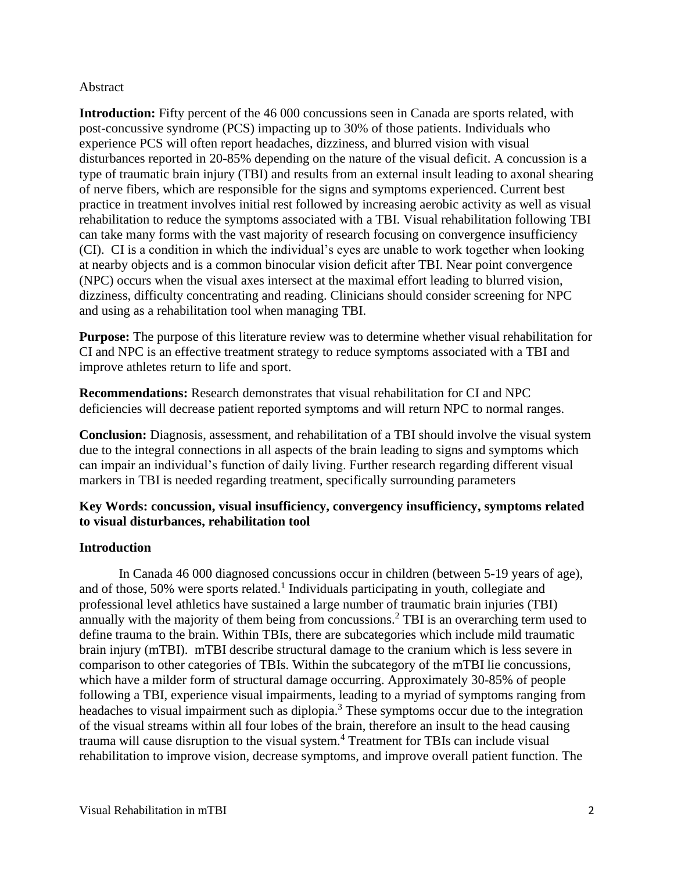# Abstract

**Introduction:** Fifty percent of the 46 000 concussions seen in Canada are sports related, with post-concussive syndrome (PCS) impacting up to 30% of those patients. Individuals who experience PCS will often report headaches, dizziness, and blurred vision with visual disturbances reported in 20-85% depending on the nature of the visual deficit. A concussion is a type of traumatic brain injury (TBI) and results from an external insult leading to axonal shearing of nerve fibers, which are responsible for the signs and symptoms experienced. Current best practice in treatment involves initial rest followed by increasing aerobic activity as well as visual rehabilitation to reduce the symptoms associated with a TBI. Visual rehabilitation following TBI can take many forms with the vast majority of research focusing on convergence insufficiency (CI). CI is a condition in which the individual's eyes are unable to work together when looking at nearby objects and is a common binocular vision deficit after TBI. Near point convergence (NPC) occurs when the visual axes intersect at the maximal effort leading to blurred vision, dizziness, difficulty concentrating and reading. Clinicians should consider screening for NPC and using as a rehabilitation tool when managing TBI.

**Purpose:** The purpose of this literature review was to determine whether visual rehabilitation for CI and NPC is an effective treatment strategy to reduce symptoms associated with a TBI and improve athletes return to life and sport.

**Recommendations:** Research demonstrates that visual rehabilitation for CI and NPC deficiencies will decrease patient reported symptoms and will return NPC to normal ranges.

**Conclusion:** Diagnosis, assessment, and rehabilitation of a TBI should involve the visual system due to the integral connections in all aspects of the brain leading to signs and symptoms which can impair an individual's function of daily living. Further research regarding different visual markers in TBI is needed regarding treatment, specifically surrounding parameters

# **Key Words: concussion, visual insufficiency, convergency insufficiency, symptoms related to visual disturbances, rehabilitation tool**

# **Introduction**

In Canada 46 000 diagnosed concussions occur in children (between 5-19 years of age), and of those, 50% were sports related. 1 Individuals participating in youth, collegiate and professional level athletics have sustained a large number of traumatic brain injuries (TBI) annually with the majority of them being from concussions.<sup>2</sup> TBI is an overarching term used to define trauma to the brain. Within TBIs, there are subcategories which include mild traumatic brain injury (mTBI). mTBI describe structural damage to the cranium which is less severe in comparison to other categories of TBIs. Within the subcategory of the mTBI lie concussions, which have a milder form of structural damage occurring. Approximately 30-85% of people following a TBI, experience visual impairments, leading to a myriad of symptoms ranging from headaches to visual impairment such as diplopia.<sup>3</sup> These symptoms occur due to the integration of the visual streams within all four lobes of the brain, therefore an insult to the head causing trauma will cause disruption to the visual system.<sup>4</sup> Treatment for TBIs can include visual rehabilitation to improve vision, decrease symptoms, and improve overall patient function. The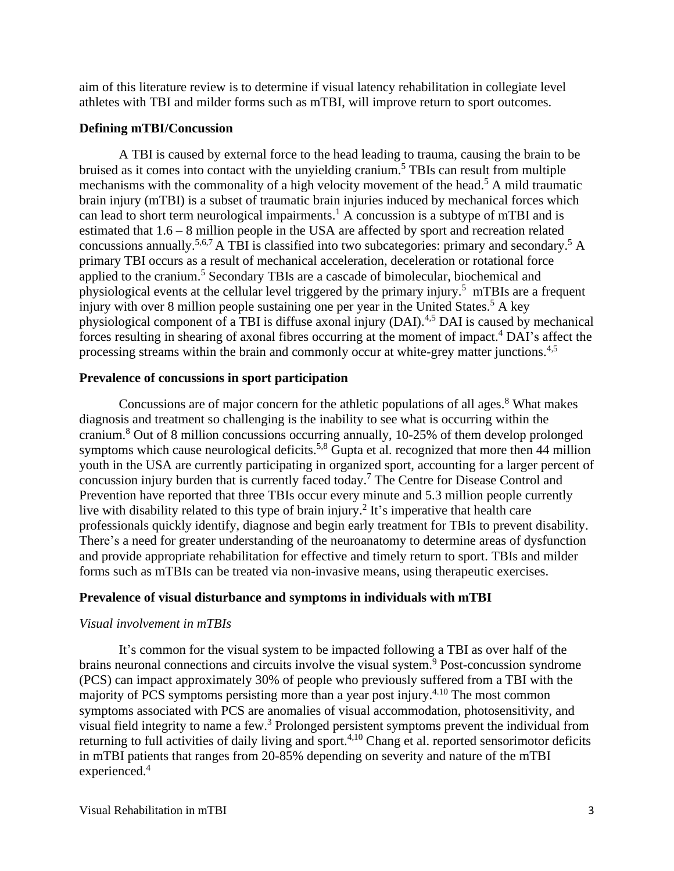aim of this literature review is to determine if visual latency rehabilitation in collegiate level athletes with TBI and milder forms such as mTBI, will improve return to sport outcomes.

# **Defining mTBI/Concussion**

A TBI is caused by external force to the head leading to trauma, causing the brain to be bruised as it comes into contact with the unyielding cranium.<sup>5</sup> TBIs can result from multiple mechanisms with the commonality of a high velocity movement of the head.<sup>5</sup> A mild traumatic brain injury (mTBI) is a subset of traumatic brain injuries induced by mechanical forces which can lead to short term neurological impairments.<sup>1</sup> A concussion is a subtype of mTBI and is estimated that 1.6 – 8 million people in the USA are affected by sport and recreation related concussions annually.<sup>5,6,7</sup> A TBI is classified into two subcategories: primary and secondary.<sup>5</sup> A primary TBI occurs as a result of mechanical acceleration, deceleration or rotational force applied to the cranium.<sup>5</sup> Secondary TBIs are a cascade of bimolecular, biochemical and physiological events at the cellular level triggered by the primary injury.<sup>5</sup> mTBIs are a frequent injury with over 8 million people sustaining one per year in the United States.<sup>5</sup> A key physiological component of a TBI is diffuse axonal injury (DAI).4,5 DAI is caused by mechanical forces resulting in shearing of axonal fibres occurring at the moment of impact.<sup>4</sup> DAI's affect the processing streams within the brain and commonly occur at white-grey matter junctions.<sup>4,5</sup>

# **Prevalence of concussions in sport participation**

Concussions are of major concern for the athletic populations of all ages. $8$  What makes diagnosis and treatment so challenging is the inability to see what is occurring within the cranium. <sup>8</sup> Out of 8 million concussions occurring annually, 10-25% of them develop prolonged symptoms which cause neurological deficits.<sup>5,8</sup> Gupta et al. recognized that more then 44 million youth in the USA are currently participating in organized sport, accounting for a larger percent of concussion injury burden that is currently faced today.<sup>7</sup> The Centre for Disease Control and Prevention have reported that three TBIs occur every minute and 5.3 million people currently live with disability related to this type of brain injury.<sup>2</sup> It's imperative that health care professionals quickly identify, diagnose and begin early treatment for TBIs to prevent disability. There's a need for greater understanding of the neuroanatomy to determine areas of dysfunction and provide appropriate rehabilitation for effective and timely return to sport. TBIs and milder forms such as mTBIs can be treated via non-invasive means, using therapeutic exercises.

# **Prevalence of visual disturbance and symptoms in individuals with mTBI**

# *Visual involvement in mTBIs*

It's common for the visual system to be impacted following a TBI as over half of the brains neuronal connections and circuits involve the visual system.<sup>9</sup> Post-concussion syndrome (PCS) can impact approximately 30% of people who previously suffered from a TBI with the majority of PCS symptoms persisting more than a year post injury.4.10 The most common symptoms associated with PCS are anomalies of visual accommodation, photosensitivity, and visual field integrity to name a few.<sup>3</sup> Prolonged persistent symptoms prevent the individual from returning to full activities of daily living and sport.<sup>4,10</sup> Chang et al. reported sensorimotor deficits in mTBI patients that ranges from 20-85% depending on severity and nature of the mTBI experienced.<sup>4</sup>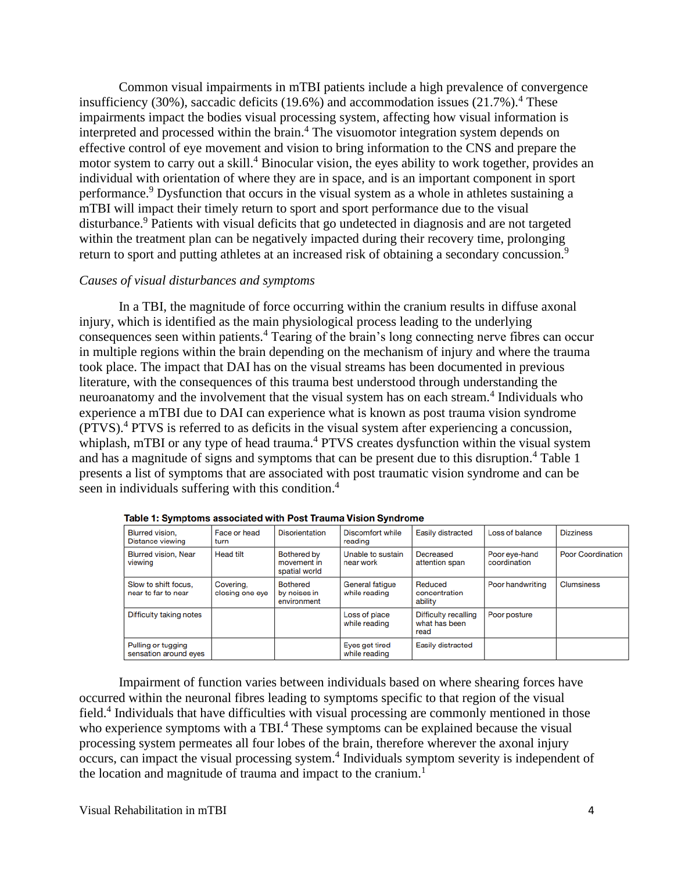Common visual impairments in mTBI patients include a high prevalence of convergence insufficiency (30%), saccadic deficits (19.6%) and accommodation issues (21.7%).<sup>4</sup> These impairments impact the bodies visual processing system, affecting how visual information is interpreted and processed within the brain.<sup>4</sup> The visuomotor integration system depends on effective control of eye movement and vision to bring information to the CNS and prepare the motor system to carry out a skill.<sup>4</sup> Binocular vision, the eyes ability to work together, provides an individual with orientation of where they are in space, and is an important component in sport performance.<sup>9</sup> Dysfunction that occurs in the visual system as a whole in athletes sustaining a mTBI will impact their timely return to sport and sport performance due to the visual disturbance. <sup>9</sup> Patients with visual deficits that go undetected in diagnosis and are not targeted within the treatment plan can be negatively impacted during their recovery time, prolonging return to sport and putting athletes at an increased risk of obtaining a secondary concussion.<sup>9</sup>

#### *Causes of visual disturbances and symptoms*

In a TBI, the magnitude of force occurring within the cranium results in diffuse axonal injury, which is identified as the main physiological process leading to the underlying consequences seen within patients.<sup>4</sup> Tearing of the brain's long connecting nerve fibres can occur in multiple regions within the brain depending on the mechanism of injury and where the trauma took place. The impact that DAI has on the visual streams has been documented in previous literature, with the consequences of this trauma best understood through understanding the neuroanatomy and the involvement that the visual system has on each stream.<sup>4</sup> Individuals who experience a mTBI due to DAI can experience what is known as post trauma vision syndrome (PTVS).<sup>4</sup> PTVS is referred to as deficits in the visual system after experiencing a concussion, whiplash, mTBI or any type of head trauma.<sup>4</sup> PTVS creates dysfunction within the visual system and has a magnitude of signs and symptoms that can be present due to this disruption.<sup>4</sup> Table 1 presents a list of symptoms that are associated with post traumatic vision syndrome and can be seen in individuals suffering with this condition.<sup>4</sup>

| Blurred vision.<br>Distance viewing         | Face or head<br>turn         | <b>Disorientation</b>                              | Discomfort while<br>reading      | Easily distracted                                    | Loss of balance               | <b>Dizziness</b>         |
|---------------------------------------------|------------------------------|----------------------------------------------------|----------------------------------|------------------------------------------------------|-------------------------------|--------------------------|
| <b>Blurred vision, Near</b><br>viewing      | <b>Head tilt</b>             | <b>Bothered by</b><br>movement in<br>spatial world | Unable to sustain<br>near work   | Decreased<br>attention span                          | Poor eye-hand<br>coordination | <b>Poor Coordination</b> |
| Slow to shift focus.<br>near to far to near | Covering.<br>closing one eye | <b>Bothered</b><br>by noises in<br>environment     | General fatigue<br>while reading | Reduced<br>concentration<br>ability                  | Poor handwriting              | <b>Clumsiness</b>        |
| Difficulty taking notes                     |                              |                                                    | Loss of place<br>while reading   | <b>Difficulty recalling</b><br>what has been<br>read | Poor posture                  |                          |
| Pulling or tugging<br>sensation around eyes |                              |                                                    | Eyes get tired<br>while reading  | Easily distracted                                    |                               |                          |

Table 1: Symptoms associated with Post Trauma Vision Syndrome

Impairment of function varies between individuals based on where shearing forces have occurred within the neuronal fibres leading to symptoms specific to that region of the visual field.<sup>4</sup> Individuals that have difficulties with visual processing are commonly mentioned in those who experience symptoms with a TBI.<sup>4</sup> These symptoms can be explained because the visual processing system permeates all four lobes of the brain, therefore wherever the axonal injury occurs, can impact the visual processing system.<sup>4</sup> Individuals symptom severity is independent of the location and magnitude of trauma and impact to the cranium. 1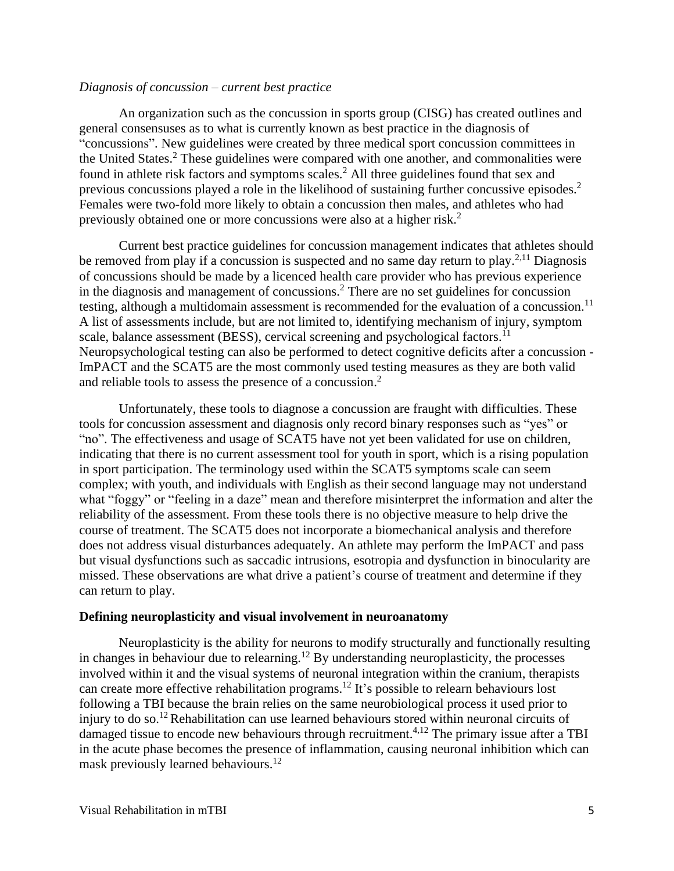#### *Diagnosis of concussion – current best practice*

An organization such as the concussion in sports group (CISG) has created outlines and general consensuses as to what is currently known as best practice in the diagnosis of "concussions". New guidelines were created by three medical sport concussion committees in the United States.<sup>2</sup> These guidelines were compared with one another, and commonalities were found in athlete risk factors and symptoms scales.<sup>2</sup> All three guidelines found that sex and previous concussions played a role in the likelihood of sustaining further concussive episodes.<sup>2</sup> Females were two-fold more likely to obtain a concussion then males, and athletes who had previously obtained one or more concussions were also at a higher risk.<sup>2</sup>

Current best practice guidelines for concussion management indicates that athletes should be removed from play if a concussion is suspected and no same day return to play.<sup>2,11</sup> Diagnosis of concussions should be made by a licenced health care provider who has previous experience in the diagnosis and management of concussions.<sup>2</sup> There are no set guidelines for concussion testing, although a multidomain assessment is recommended for the evaluation of a concussion.<sup>11</sup> A list of assessments include, but are not limited to, identifying mechanism of injury, symptom scale, balance assessment (BESS), cervical screening and psychological factors.<sup>11</sup> Neuropsychological testing can also be performed to detect cognitive deficits after a concussion - ImPACT and the SCAT5 are the most commonly used testing measures as they are both valid and reliable tools to assess the presence of a concussion. 2

Unfortunately, these tools to diagnose a concussion are fraught with difficulties. These tools for concussion assessment and diagnosis only record binary responses such as "yes" or "no". The effectiveness and usage of SCAT5 have not yet been validated for use on children, indicating that there is no current assessment tool for youth in sport, which is a rising population in sport participation. The terminology used within the SCAT5 symptoms scale can seem complex; with youth, and individuals with English as their second language may not understand what "foggy" or "feeling in a daze" mean and therefore misinterpret the information and alter the reliability of the assessment. From these tools there is no objective measure to help drive the course of treatment. The SCAT5 does not incorporate a biomechanical analysis and therefore does not address visual disturbances adequately. An athlete may perform the ImPACT and pass but visual dysfunctions such as saccadic intrusions, esotropia and dysfunction in binocularity are missed. These observations are what drive a patient's course of treatment and determine if they can return to play.

#### **Defining neuroplasticity and visual involvement in neuroanatomy**

Neuroplasticity is the ability for neurons to modify structurally and functionally resulting in changes in behaviour due to relearning.<sup>12</sup> By understanding neuroplasticity, the processes involved within it and the visual systems of neuronal integration within the cranium, therapists can create more effective rehabilitation programs.<sup>12</sup> It's possible to relearn behaviours lost following a TBI because the brain relies on the same neurobiological process it used prior to injury to do so.<sup>12</sup> Rehabilitation can use learned behaviours stored within neuronal circuits of damaged tissue to encode new behaviours through recruitment.<sup>4,12</sup> The primary issue after a TBI in the acute phase becomes the presence of inflammation, causing neuronal inhibition which can mask previously learned behaviours.<sup>12</sup>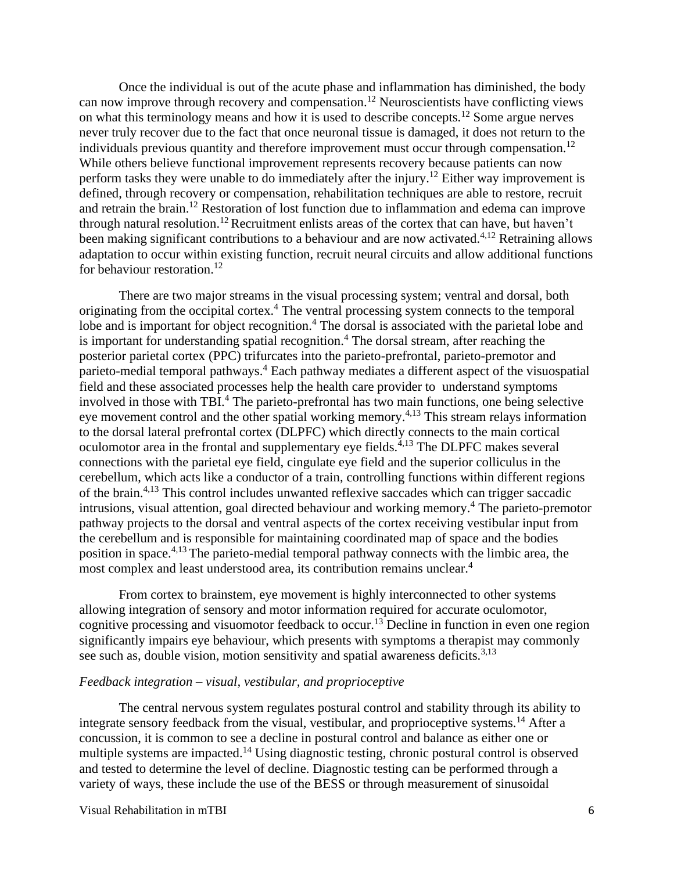Once the individual is out of the acute phase and inflammation has diminished, the body can now improve through recovery and compensation.<sup>12</sup> Neuroscientists have conflicting views on what this terminology means and how it is used to describe concepts.<sup>12</sup> Some argue nerves never truly recover due to the fact that once neuronal tissue is damaged, it does not return to the individuals previous quantity and therefore improvement must occur through compensation.<sup>12</sup> While others believe functional improvement represents recovery because patients can now perform tasks they were unable to do immediately after the injury.<sup>12</sup> Either way improvement is defined, through recovery or compensation, rehabilitation techniques are able to restore, recruit and retrain the brain. <sup>12</sup> Restoration of lost function due to inflammation and edema can improve through natural resolution.<sup>12</sup> Recruitment enlists areas of the cortex that can have, but haven't been making significant contributions to a behaviour and are now activated.<sup>4,12</sup> Retraining allows adaptation to occur within existing function, recruit neural circuits and allow additional functions for behaviour restoration.<sup>12</sup>

There are two major streams in the visual processing system; ventral and dorsal, both originating from the occipital cortex.<sup>4</sup> The ventral processing system connects to the temporal lobe and is important for object recognition.<sup>4</sup> The dorsal is associated with the parietal lobe and is important for understanding spatial recognition.<sup>4</sup> The dorsal stream, after reaching the posterior parietal cortex (PPC) trifurcates into the parieto-prefrontal, parieto-premotor and parieto-medial temporal pathways.<sup>4</sup> Each pathway mediates a different aspect of the visuospatial field and these associated processes help the health care provider to understand symptoms involved in those with TBI.<sup>4</sup> The parieto-prefrontal has two main functions, one being selective eye movement control and the other spatial working memory.<sup>4,13</sup> This stream relays information to the dorsal lateral prefrontal cortex (DLPFC) which directly connects to the main cortical oculomotor area in the frontal and supplementary eye fields. $^{4,13}$  The DLPFC makes several connections with the parietal eye field, cingulate eye field and the superior colliculus in the cerebellum, which acts like a conductor of a train, controlling functions within different regions of the brain.4,13 This control includes unwanted reflexive saccades which can trigger saccadic intrusions, visual attention, goal directed behaviour and working memory.<sup>4</sup> The parieto-premotor pathway projects to the dorsal and ventral aspects of the cortex receiving vestibular input from the cerebellum and is responsible for maintaining coordinated map of space and the bodies position in space.<sup>4,13</sup> The parieto-medial temporal pathway connects with the limbic area, the most complex and least understood area, its contribution remains unclear. 4

From cortex to brainstem, eye movement is highly interconnected to other systems allowing integration of sensory and motor information required for accurate oculomotor, cognitive processing and visuomotor feedback to occur.<sup>13</sup> Decline in function in even one region significantly impairs eye behaviour, which presents with symptoms a therapist may commonly see such as, double vision, motion sensitivity and spatial awareness deficits.<sup>3,13</sup>

#### *Feedback integration – visual, vestibular, and proprioceptive*

The central nervous system regulates postural control and stability through its ability to integrate sensory feedback from the visual, vestibular, and proprioceptive systems.<sup>14</sup> After a concussion, it is common to see a decline in postural control and balance as either one or multiple systems are impacted.<sup>14</sup> Using diagnostic testing, chronic postural control is observed and tested to determine the level of decline. Diagnostic testing can be performed through a variety of ways, these include the use of the BESS or through measurement of sinusoidal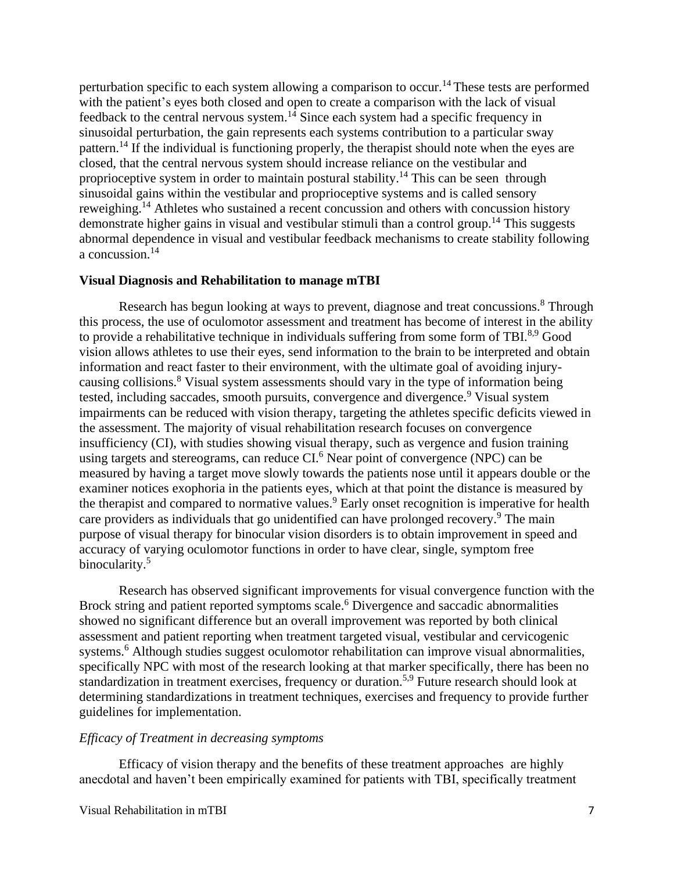perturbation specific to each system allowing a comparison to occur.<sup>14</sup> These tests are performed with the patient's eyes both closed and open to create a comparison with the lack of visual feedback to the central nervous system.<sup>14</sup> Since each system had a specific frequency in sinusoidal perturbation, the gain represents each systems contribution to a particular sway pattern.<sup>14</sup> If the individual is functioning properly, the therapist should note when the eyes are closed, that the central nervous system should increase reliance on the vestibular and proprioceptive system in order to maintain postural stability.<sup>14</sup> This can be seen through sinusoidal gains within the vestibular and proprioceptive systems and is called sensory reweighing.<sup>14</sup> Athletes who sustained a recent concussion and others with concussion history demonstrate higher gains in visual and vestibular stimuli than a control group.<sup>14</sup> This suggests abnormal dependence in visual and vestibular feedback mechanisms to create stability following a concussion.<sup>14</sup>

#### **Visual Diagnosis and Rehabilitation to manage mTBI**

Research has begun looking at ways to prevent, diagnose and treat concussions.<sup>8</sup> Through this process, the use of oculomotor assessment and treatment has become of interest in the ability to provide a rehabilitative technique in individuals suffering from some form of TBI.<sup>8,9</sup> Good vision allows athletes to use their eyes, send information to the brain to be interpreted and obtain information and react faster to their environment, with the ultimate goal of avoiding injurycausing collisions.<sup>8</sup> Visual system assessments should vary in the type of information being tested, including saccades, smooth pursuits, convergence and divergence.<sup>9</sup> Visual system impairments can be reduced with vision therapy, targeting the athletes specific deficits viewed in the assessment. The majority of visual rehabilitation research focuses on convergence insufficiency (CI), with studies showing visual therapy, such as vergence and fusion training using targets and stereograms, can reduce CI.<sup>6</sup> Near point of convergence (NPC) can be measured by having a target move slowly towards the patients nose until it appears double or the examiner notices exophoria in the patients eyes, which at that point the distance is measured by the therapist and compared to normative values.<sup>9</sup> Early onset recognition is imperative for health care providers as individuals that go unidentified can have prolonged recovery.<sup>9</sup> The main purpose of visual therapy for binocular vision disorders is to obtain improvement in speed and accuracy of varying oculomotor functions in order to have clear, single, symptom free binocularity.<sup>5</sup>

Research has observed significant improvements for visual convergence function with the Brock string and patient reported symptoms scale.<sup>6</sup> Divergence and saccadic abnormalities showed no significant difference but an overall improvement was reported by both clinical assessment and patient reporting when treatment targeted visual, vestibular and cervicogenic systems.<sup>6</sup> Although studies suggest oculomotor rehabilitation can improve visual abnormalities, specifically NPC with most of the research looking at that marker specifically, there has been no standardization in treatment exercises, frequency or duration.<sup>5,9</sup> Future research should look at determining standardizations in treatment techniques, exercises and frequency to provide further guidelines for implementation.

#### *Efficacy of Treatment in decreasing symptoms*

Efficacy of vision therapy and the benefits of these treatment approaches are highly anecdotal and haven't been empirically examined for patients with TBI, specifically treatment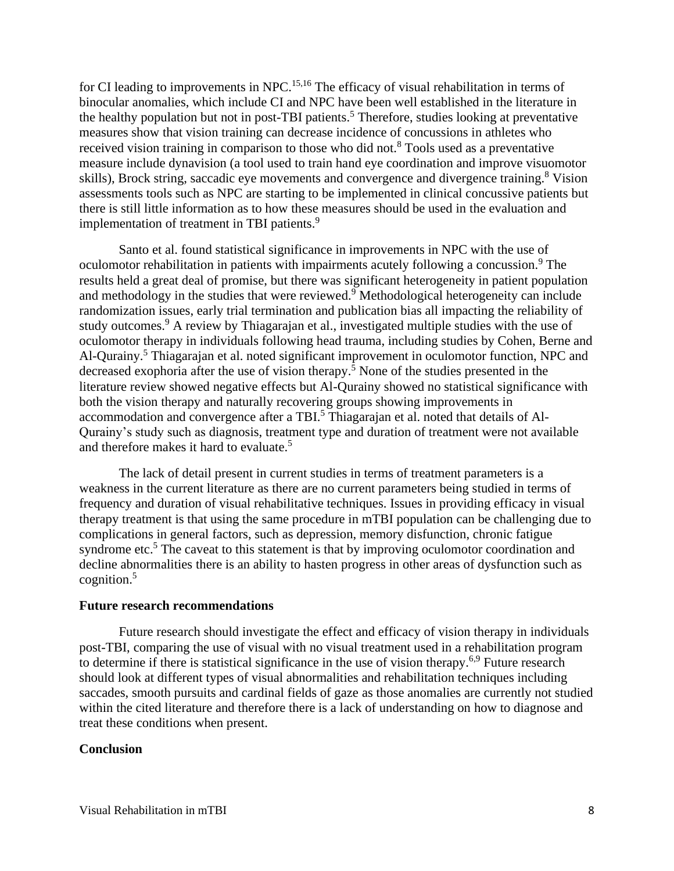for CI leading to improvements in NPC.<sup>15,16</sup> The efficacy of visual rehabilitation in terms of binocular anomalies, which include CI and NPC have been well established in the literature in the healthy population but not in post-TBI patients.<sup>5</sup> Therefore, studies looking at preventative measures show that vision training can decrease incidence of concussions in athletes who received vision training in comparison to those who did not.<sup>8</sup> Tools used as a preventative measure include dynavision (a tool used to train hand eye coordination and improve visuomotor skills), Brock string, saccadic eye movements and convergence and divergence training.<sup>8</sup> Vision assessments tools such as NPC are starting to be implemented in clinical concussive patients but there is still little information as to how these measures should be used in the evaluation and implementation of treatment in TBI patients.<sup>9</sup>

Santo et al. found statistical significance in improvements in NPC with the use of oculomotor rehabilitation in patients with impairments acutely following a concussion.<sup>9</sup> The results held a great deal of promise, but there was significant heterogeneity in patient population and methodology in the studies that were reviewed. <sup>9</sup> Methodological heterogeneity can include randomization issues, early trial termination and publication bias all impacting the reliability of study outcomes.<sup>9</sup> A review by Thiagarajan et al., investigated multiple studies with the use of oculomotor therapy in individuals following head trauma, including studies by Cohen, Berne and Al-Qurainy.<sup>5</sup> Thiagarajan et al. noted significant improvement in oculomotor function, NPC and decreased exophoria after the use of vision therapy.<sup>5</sup> None of the studies presented in the literature review showed negative effects but Al-Qurainy showed no statistical significance with both the vision therapy and naturally recovering groups showing improvements in accommodation and convergence after a TBI.<sup>5</sup> Thiagarajan et al. noted that details of Al-Qurainy's study such as diagnosis, treatment type and duration of treatment were not available and therefore makes it hard to evaluate. 5

The lack of detail present in current studies in terms of treatment parameters is a weakness in the current literature as there are no current parameters being studied in terms of frequency and duration of visual rehabilitative techniques. Issues in providing efficacy in visual therapy treatment is that using the same procedure in mTBI population can be challenging due to complications in general factors, such as depression, memory disfunction, chronic fatigue syndrome etc.<sup>5</sup> The caveat to this statement is that by improving oculomotor coordination and decline abnormalities there is an ability to hasten progress in other areas of dysfunction such as cognition. $5$ 

#### **Future research recommendations**

Future research should investigate the effect and efficacy of vision therapy in individuals post-TBI, comparing the use of visual with no visual treatment used in a rehabilitation program to determine if there is statistical significance in the use of vision therapy.<sup>6,9</sup> Future research should look at different types of visual abnormalities and rehabilitation techniques including saccades, smooth pursuits and cardinal fields of gaze as those anomalies are currently not studied within the cited literature and therefore there is a lack of understanding on how to diagnose and treat these conditions when present.

#### **Conclusion**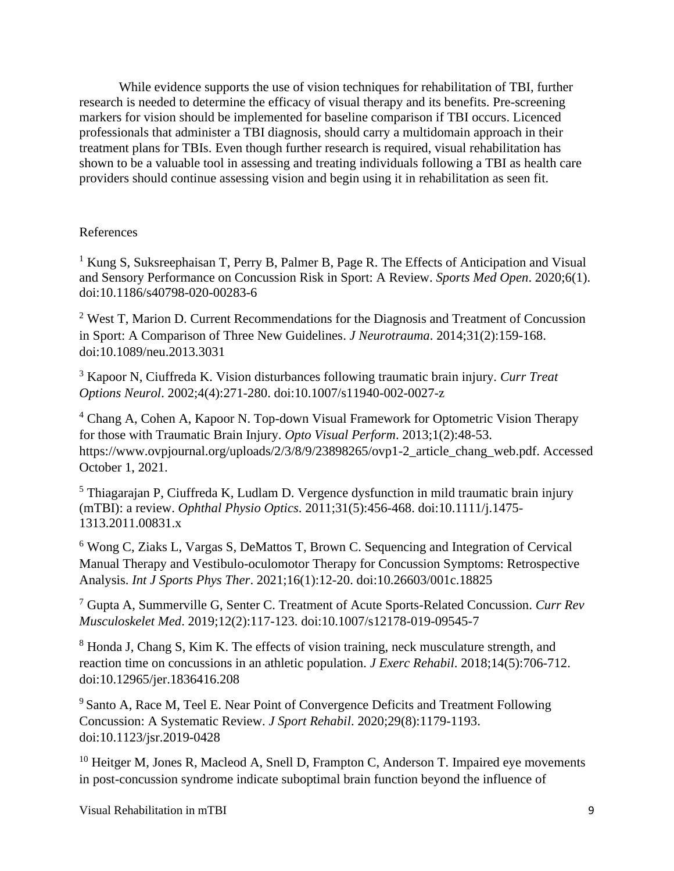While evidence supports the use of vision techniques for rehabilitation of TBI, further research is needed to determine the efficacy of visual therapy and its benefits. Pre-screening markers for vision should be implemented for baseline comparison if TBI occurs. Licenced professionals that administer a TBI diagnosis, should carry a multidomain approach in their treatment plans for TBIs. Even though further research is required, visual rehabilitation has shown to be a valuable tool in assessing and treating individuals following a TBI as health care providers should continue assessing vision and begin using it in rehabilitation as seen fit.

# References

<sup>1</sup> Kung S, Suksreephaisan T, Perry B, Palmer B, Page R. The Effects of Anticipation and Visual and Sensory Performance on Concussion Risk in Sport: A Review. *Sports Med Open*. 2020;6(1). doi:10.1186/s40798-020-00283-6

<sup>2</sup> West T, Marion D. Current Recommendations for the Diagnosis and Treatment of Concussion in Sport: A Comparison of Three New Guidelines. *J Neurotrauma*. 2014;31(2):159-168. doi:10.1089/neu.2013.3031

<sup>3</sup> Kapoor N, Ciuffreda K. Vision disturbances following traumatic brain injury. *Curr Treat Options Neurol*. 2002;4(4):271-280. doi:10.1007/s11940-002-0027-z

<sup>4</sup> Chang A, Cohen A, Kapoor N. Top-down Visual Framework for Optometric Vision Therapy for those with Traumatic Brain Injury. *Opto Visual Perform*. 2013;1(2):48-53. https://www.ovpjournal.org/uploads/2/3/8/9/23898265/ovp1-2 article chang web.pdf. Accessed October 1, 2021.

 $<sup>5</sup>$  Thiagarajan P, Ciuffreda K, Ludlam D. Vergence dysfunction in mild traumatic brain injury</sup> (mTBI): a review. *Ophthal Physio Optics*. 2011;31(5):456-468. doi:10.1111/j.1475- 1313.2011.00831.x

<sup>6</sup> Wong C, Ziaks L, Vargas S, DeMattos T, Brown C. Sequencing and Integration of Cervical Manual Therapy and Vestibulo-oculomotor Therapy for Concussion Symptoms: Retrospective Analysis. *Int J Sports Phys Ther*. 2021;16(1):12-20. doi:10.26603/001c.18825

<sup>7</sup> Gupta A, Summerville G, Senter C. Treatment of Acute Sports-Related Concussion. *Curr Rev Musculoskelet Med*. 2019;12(2):117-123. doi:10.1007/s12178-019-09545-7

<sup>8</sup> Honda J, Chang S, Kim K. The effects of vision training, neck musculature strength, and reaction time on concussions in an athletic population. *J Exerc Rehabil*. 2018;14(5):706-712. doi:10.12965/jer.1836416.208

<sup>9</sup> Santo A, Race M, Teel E. Near Point of Convergence Deficits and Treatment Following Concussion: A Systematic Review. *J Sport Rehabil*. 2020;29(8):1179-1193. doi:10.1123/jsr.2019-0428

 $10$  Heitger M, Jones R, Macleod A, Snell D, Frampton C, Anderson T. Impaired eye movements in post-concussion syndrome indicate suboptimal brain function beyond the influence of